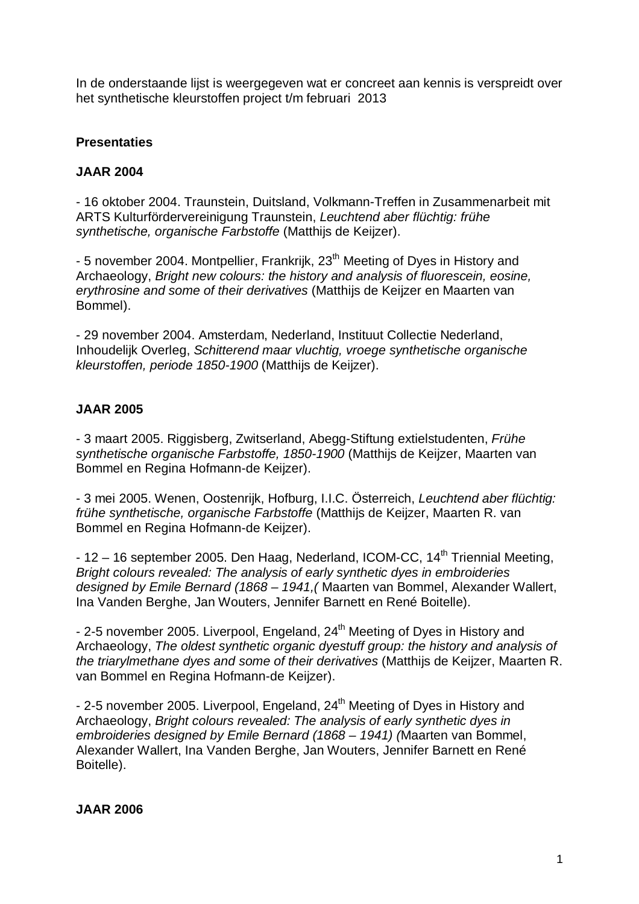In de onderstaande lijst is weergegeven wat er concreet aan kennis is verspreidt over het synthetische kleurstoffen project t/m februari 2013

# **Presentaties**

### **JAAR 2004**

- 16 oktober 2004. Traunstein, Duitsland, Volkmann-Treffen in Zusammenarbeit mit ARTS Kulturfördervereinigung Traunstein, Leuchtend aber flüchtig: frühe synthetische, organische Farbstoffe (Matthijs de Keijzer).

- 5 november 2004. Montpellier, Frankrijk, 23<sup>th</sup> Meeting of Dyes in History and Archaeology, Bright new colours: the history and analysis of fluorescein, eosine, erythrosine and some of their derivatives (Matthijs de Keijzer en Maarten van Bommel).

- 29 november 2004. Amsterdam, Nederland, Instituut Collectie Nederland, Inhoudelijk Overleg, Schitterend maar vluchtig, vroege synthetische organische kleurstoffen, periode 1850-1900 (Matthijs de Keijzer).

# **JAAR 2005**

- 3 maart 2005. Riggisberg, Zwitserland, Abegg-Stiftung extielstudenten, Frühe synthetische organische Farbstoffe, 1850-1900 (Matthijs de Keijzer, Maarten van Bommel en Regina Hofmann-de Keijzer).

- 3 mei 2005. Wenen, Oostenrijk, Hofburg, I.I.C. Österreich, Leuchtend aber flüchtig: frühe synthetische, organische Farbstoffe (Matthijs de Keijzer, Maarten R. van Bommel en Regina Hofmann-de Keijzer).

 $-12 - 16$  september 2005. Den Haag, Nederland, ICOM-CC,  $14<sup>th</sup>$  Triennial Meeting, Bright colours revealed: The analysis of early synthetic dyes in embroideries designed by Emile Bernard (1868 – 1941,( Maarten van Bommel, Alexander Wallert, Ina Vanden Berghe, Jan Wouters, Jennifer Barnett en René Boitelle).

- 2-5 november 2005. Liverpool, Engeland, 24<sup>th</sup> Meeting of Dyes in History and Archaeology, The oldest synthetic organic dyestuff group: the history and analysis of the triarylmethane dyes and some of their derivatives (Matthijs de Keijzer, Maarten R. van Bommel en Regina Hofmann-de Keijzer).

- 2-5 november 2005. Liverpool, Engeland, 24<sup>th</sup> Meeting of Dyes in History and Archaeology, Bright colours revealed: The analysis of early synthetic dyes in embroideries designed by Emile Bernard (1868 – 1941) (Maarten van Bommel, Alexander Wallert, Ina Vanden Berghe, Jan Wouters, Jennifer Barnett en René Boitelle).

### **JAAR 2006**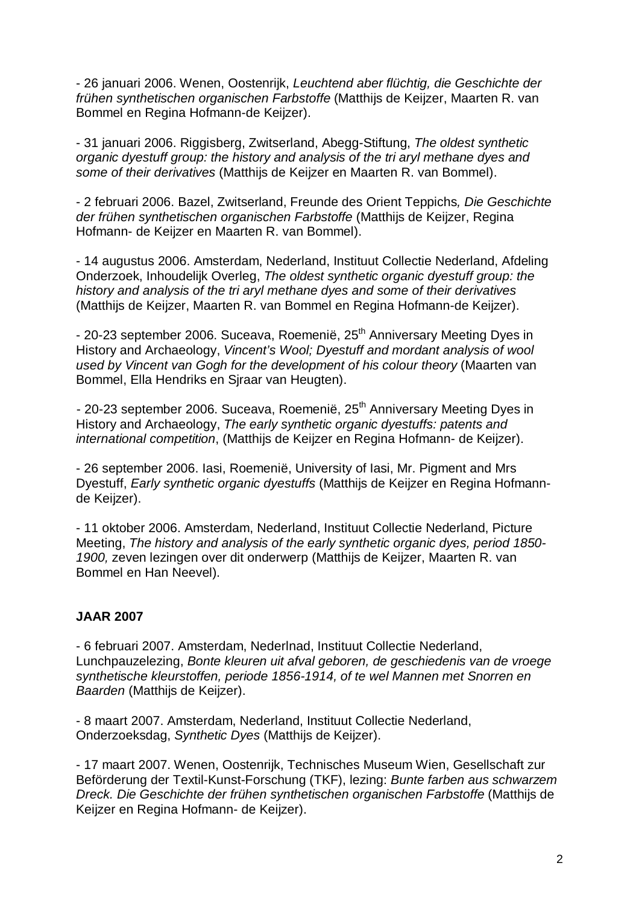- 26 januari 2006. Wenen, Oostenrijk, Leuchtend aber flüchtig, die Geschichte der frühen synthetischen organischen Farbstoffe (Matthijs de Keijzer, Maarten R. van Bommel en Regina Hofmann-de Keijzer).

- 31 januari 2006. Riggisberg, Zwitserland, Abegg-Stiftung, The oldest synthetic organic dyestuff group: the history and analysis of the tri aryl methane dyes and some of their derivatives (Matthijs de Keijzer en Maarten R. van Bommel).

- 2 februari 2006. Bazel, Zwitserland, Freunde des Orient Teppichs, Die Geschichte der frühen synthetischen organischen Farbstoffe (Matthijs de Keijzer, Regina Hofmann- de Keijzer en Maarten R. van Bommel).

- 14 augustus 2006. Amsterdam, Nederland, Instituut Collectie Nederland, Afdeling Onderzoek, Inhoudelijk Overleg, The oldest synthetic organic dyestuff group: the history and analysis of the tri aryl methane dyes and some of their derivatives (Matthijs de Keijzer, Maarten R. van Bommel en Regina Hofmann-de Keijzer).

- 20-23 september 2006. Suceava, Roemenië, 25<sup>th</sup> Anniversary Meeting Dyes in History and Archaeology, Vincent's Wool; Dyestuff and mordant analysis of wool used by Vincent van Gogh for the development of his colour theory (Maarten van Bommel, Ella Hendriks en Sjraar van Heugten).

- 20-23 september 2006. Suceava, Roemenië, 25<sup>th</sup> Anniversary Meeting Dyes in History and Archaeology, The early synthetic organic dyestuffs: patents and international competition, (Matthijs de Keijzer en Regina Hofmann- de Keijzer).

- 26 september 2006. Iasi, Roemenië, University of Iasi, Mr. Pigment and Mrs Dyestuff, Early synthetic organic dyestuffs (Matthijs de Keijzer en Regina Hofmannde Keijzer).

- 11 oktober 2006. Amsterdam, Nederland, Instituut Collectie Nederland, Picture Meeting, The history and analysis of the early synthetic organic dyes, period 1850- 1900, zeven lezingen over dit onderwerp (Matthijs de Keijzer, Maarten R. van Bommel en Han Neevel).

#### **JAAR 2007**

- 6 februari 2007. Amsterdam, Nederlnad, Instituut Collectie Nederland, Lunchpauzelezing, Bonte kleuren uit afval geboren, de geschiedenis van de vroege synthetische kleurstoffen, periode 1856-1914, of te wel Mannen met Snorren en Baarden (Matthijs de Keijzer).

- 8 maart 2007. Amsterdam, Nederland, Instituut Collectie Nederland, Onderzoeksdag, Synthetic Dyes (Matthijs de Keijzer).

- 17 maart 2007. Wenen, Oostenrijk, Technisches Museum Wien, Gesellschaft zur Beförderung der Textil-Kunst-Forschung (TKF), lezing: Bunte farben aus schwarzem Dreck. Die Geschichte der frühen synthetischen organischen Farbstoffe (Matthijs de Keijzer en Regina Hofmann- de Keijzer).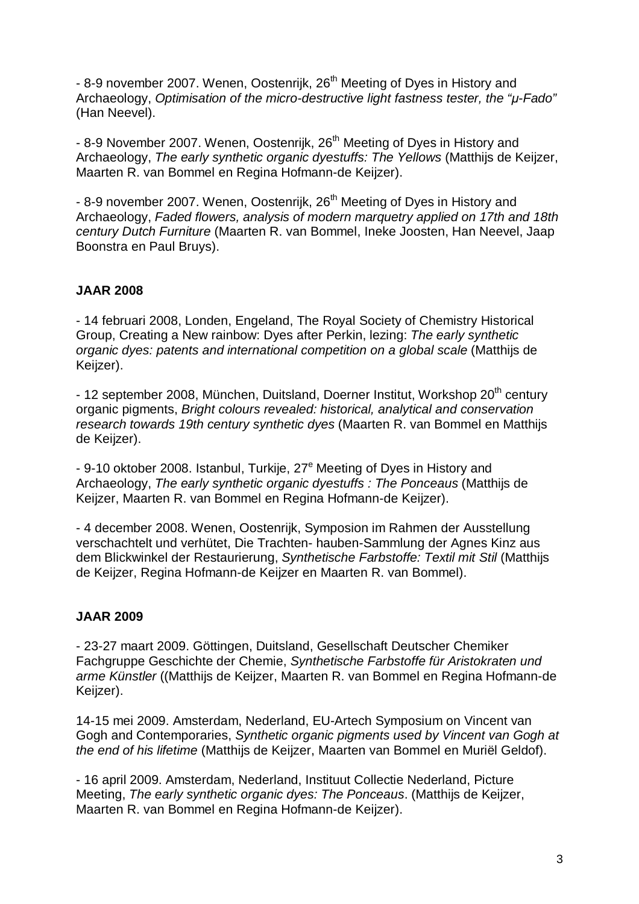- 8-9 november 2007. Wenen, Oostenrijk, 26<sup>th</sup> Meeting of Dyes in History and Archaeology, Optimisation of the micro-destructive light fastness tester, the "*µ*-Fado" (Han Neevel).

- 8-9 November 2007. Wenen, Oostenrijk, 26<sup>th</sup> Meeting of Dyes in History and Archaeology, The early synthetic organic dyestuffs: The Yellows (Matthijs de Keijzer, Maarten R. van Bommel en Regina Hofmann-de Keijzer).

- 8-9 november 2007. Wenen, Oostenrijk, 26<sup>th</sup> Meeting of Dyes in History and Archaeology, Faded flowers, analysis of modern marquetry applied on 17th and 18th century Dutch Furniture (Maarten R. van Bommel, Ineke Joosten, Han Neevel, Jaap Boonstra en Paul Bruys).

### **JAAR 2008**

- 14 februari 2008, Londen, Engeland, The Royal Society of Chemistry Historical Group, Creating a New rainbow: Dyes after Perkin, lezing: The early synthetic organic dyes: patents and international competition on a global scale (Matthijs de Keijzer).

- 12 september 2008, München, Duitsland, Doerner Institut, Workshop 20<sup>th</sup> century organic pigments, Bright colours revealed: historical, analytical and conservation research towards 19th century synthetic dyes (Maarten R. van Bommel en Matthijs de Keijzer).

- 9-10 oktober 2008. Istanbul, Turkije, 27<sup>e</sup> Meeting of Dyes in History and Archaeology, The early synthetic organic dyestuffs : The Ponceaus (Matthijs de Keijzer, Maarten R. van Bommel en Regina Hofmann-de Keijzer).

- 4 december 2008. Wenen, Oostenrijk, Symposion im Rahmen der Ausstellung verschachtelt und verhütet, Die Trachten- hauben-Sammlung der Agnes Kinz aus dem Blickwinkel der Restaurierung, Synthetische Farbstoffe: Textil mit Stil (Matthijs de Keijzer, Regina Hofmann-de Keijzer en Maarten R. van Bommel).

#### **JAAR 2009**

- 23-27 maart 2009. Göttingen, Duitsland, Gesellschaft Deutscher Chemiker Fachgruppe Geschichte der Chemie, Synthetische Farbstoffe für Aristokraten und arme Künstler ((Matthijs de Keijzer, Maarten R. van Bommel en Regina Hofmann-de Keijzer).

14-15 mei 2009. Amsterdam, Nederland, EU-Artech Symposium on Vincent van Gogh and Contemporaries, Synthetic organic pigments used by Vincent van Gogh at the end of his lifetime (Matthijs de Keijzer, Maarten van Bommel en Muriël Geldof).

- 16 april 2009. Amsterdam, Nederland, Instituut Collectie Nederland, Picture Meeting, The early synthetic organic dyes: The Ponceaus. (Matthijs de Keijzer, Maarten R. van Bommel en Regina Hofmann-de Keijzer).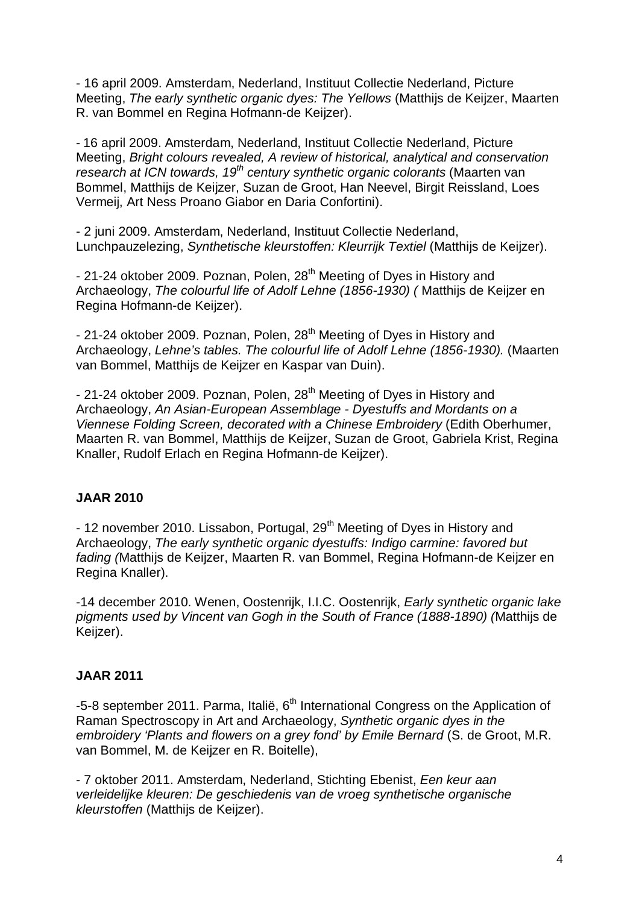- 16 april 2009. Amsterdam, Nederland, Instituut Collectie Nederland, Picture Meeting, The early synthetic organic dyes: The Yellows (Matthijs de Keijzer, Maarten R. van Bommel en Regina Hofmann-de Keijzer).

- 16 april 2009. Amsterdam, Nederland, Instituut Collectie Nederland, Picture Meeting, Bright colours revealed, A review of historical, analytical and conservation research at ICN towards,  $19<sup>th</sup>$  century synthetic organic colorants (Maarten van Bommel, Matthijs de Keijzer, Suzan de Groot, Han Neevel, Birgit Reissland, Loes Vermeij, Art Ness Proano Giabor en Daria Confortini).

- 2 juni 2009. Amsterdam, Nederland, Instituut Collectie Nederland, Lunchpauzelezing, Synthetische kleurstoffen: Kleurrijk Textiel (Matthijs de Keijzer).

- 21-24 oktober 2009. Poznan, Polen, 28<sup>th</sup> Meeting of Dyes in History and Archaeology, The colourful life of Adolf Lehne (1856-1930) ( Matthijs de Keijzer en Regina Hofmann-de Keijzer).

- 21-24 oktober 2009. Poznan, Polen, 28<sup>th</sup> Meeting of Dyes in History and Archaeology, Lehne's tables. The colourful life of Adolf Lehne (1856-1930). (Maarten van Bommel, Matthijs de Keijzer en Kaspar van Duin).

- 21-24 oktober 2009. Poznan, Polen, 28<sup>th</sup> Meeting of Dyes in History and Archaeology, An Asian-European Assemblage - Dyestuffs and Mordants on a Viennese Folding Screen, decorated with a Chinese Embroidery (Edith Oberhumer, Maarten R. van Bommel, Matthijs de Keijzer, Suzan de Groot, Gabriela Krist, Regina Knaller, Rudolf Erlach en Regina Hofmann-de Keijzer).

### **JAAR 2010**

- 12 november 2010. Lissabon, Portugal, 29<sup>th</sup> Meeting of Dyes in History and Archaeology, The early synthetic organic dyestuffs: Indigo carmine: favored but fading (Matthijs de Keijzer, Maarten R. van Bommel, Regina Hofmann-de Keijzer en Regina Knaller).

-14 december 2010. Wenen, Oostenrijk, I.I.C. Oostenrijk, Early synthetic organic lake pigments used by Vincent van Gogh in the South of France (1888-1890) (Matthijs de Keijzer).

#### **JAAR 2011**

-5-8 september 2011. Parma, Italië, 6<sup>th</sup> International Congress on the Application of Raman Spectroscopy in Art and Archaeology, Synthetic organic dyes in the embroidery 'Plants and flowers on a grey fond' by Emile Bernard (S. de Groot, M.R. van Bommel, M. de Keijzer en R. Boitelle),

- 7 oktober 2011. Amsterdam, Nederland, Stichting Ebenist, Een keur aan verleidelijke kleuren: De geschiedenis van de vroeg synthetische organische kleurstoffen (Matthijs de Keijzer).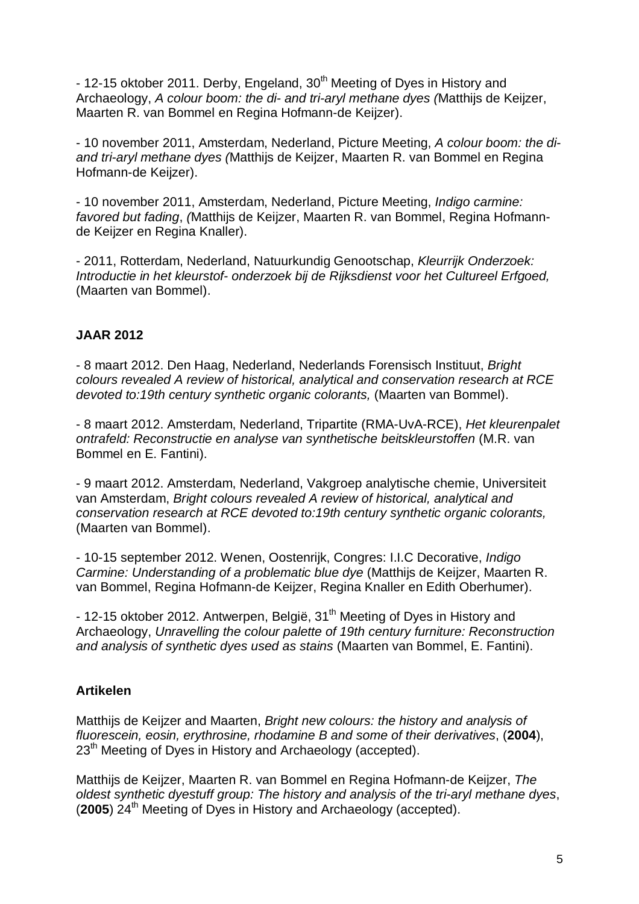- 12-15 oktober 2011. Derby, Engeland, 30<sup>th</sup> Meeting of Dyes in History and Archaeology, A colour boom: the di- and tri-aryl methane dyes (Matthijs de Keijzer, Maarten R. van Bommel en Regina Hofmann-de Keijzer).

- 10 november 2011, Amsterdam, Nederland, Picture Meeting, A colour boom: the diand tri-aryl methane dyes (Matthijs de Keijzer, Maarten R. van Bommel en Regina Hofmann-de Keijzer).

- 10 november 2011, Amsterdam, Nederland, Picture Meeting, Indigo carmine: favored but fading, (Matthijs de Keijzer, Maarten R. van Bommel, Regina Hofmannde Keijzer en Regina Knaller).

- 2011, Rotterdam, Nederland, Natuurkundig Genootschap, Kleurrijk Onderzoek: Introductie in het kleurstof- onderzoek bij de Rijksdienst voor het Cultureel Erfgoed, (Maarten van Bommel).

# **JAAR 2012**

- 8 maart 2012. Den Haag, Nederland, Nederlands Forensisch Instituut, Bright colours revealed A review of historical, analytical and conservation research at RCE devoted to:19th century synthetic organic colorants, (Maarten van Bommel).

- 8 maart 2012. Amsterdam, Nederland, Tripartite (RMA-UvA-RCE), Het kleurenpalet ontrafeld: Reconstructie en analyse van synthetische beitskleurstoffen (M.R. van Bommel en E. Fantini).

- 9 maart 2012. Amsterdam, Nederland, Vakgroep analytische chemie, Universiteit van Amsterdam, Bright colours revealed A review of historical, analytical and conservation research at RCE devoted to:19th century synthetic organic colorants, (Maarten van Bommel).

- 10-15 september 2012. Wenen, Oostenrijk, Congres: I.I.C Decorative, Indigo Carmine: Understanding of a problematic blue dye (Matthijs de Keijzer, Maarten R. van Bommel, Regina Hofmann-de Keijzer, Regina Knaller en Edith Oberhumer).

- 12-15 oktober 2012. Antwerpen, België, 31<sup>th</sup> Meeting of Dyes in History and Archaeology, Unravelling the colour palette of 19th century furniture: Reconstruction and analysis of synthetic dyes used as stains (Maarten van Bommel, E. Fantini).

# **Artikelen**

Matthijs de Keijzer and Maarten, Bright new colours: the history and analysis of fluorescein, eosin, erythrosine, rhodamine B and some of their derivatives, (**2004**), 23<sup>th</sup> Meeting of Dyes in History and Archaeology (accepted).

Matthijs de Keijzer, Maarten R. van Bommel en Regina Hofmann-de Keijzer, The oldest synthetic dyestuff group: The history and analysis of the tri-aryl methane dyes, (2005) 24<sup>th</sup> Meeting of Dyes in History and Archaeology (accepted).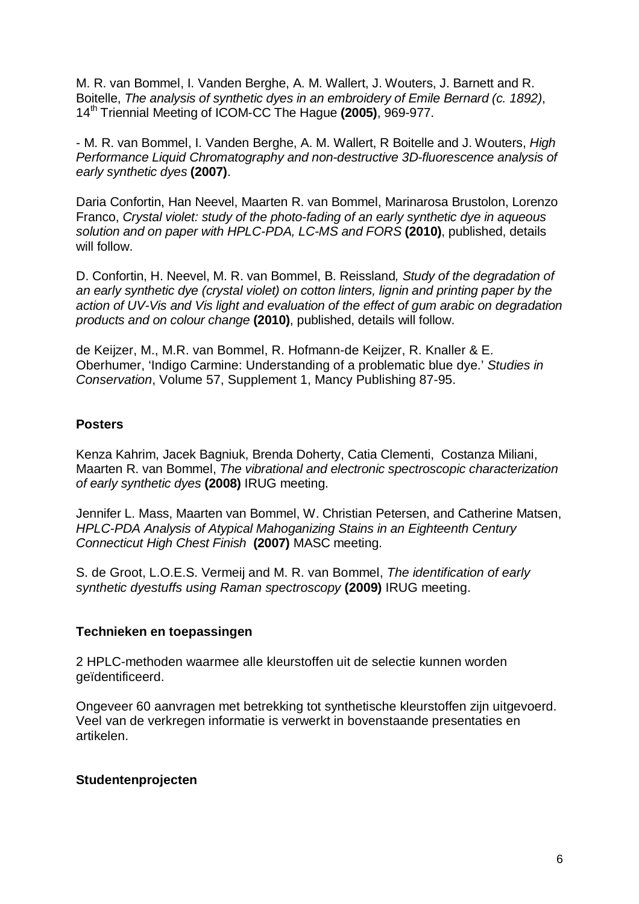M. R. van Bommel, I. Vanden Berghe, A. M. Wallert, J. Wouters, J. Barnett and R. Boitelle, The analysis of synthetic dyes in an embroidery of Emile Bernard (c. 1892), 14th Triennial Meeting of ICOM-CC The Hague **(2005)**, 969-977.

- M. R. van Bommel, I. Vanden Berghe, A. M. Wallert, R Boitelle and J. Wouters, High Performance Liquid Chromatography and non-destructive 3D-fluorescence analysis of early synthetic dyes **(2007)**.

Daria Confortin, Han Neevel, Maarten R. van Bommel, Marinarosa Brustolon, Lorenzo Franco, Crystal violet: study of the photo-fading of an early synthetic dye in aqueous solution and on paper with HPLC-PDA, LC-MS and FORS **(2010)**, published, details will follow.

D. Confortin, H. Neevel, M. R. van Bommel, B. Reissland, Study of the degradation of an early synthetic dye (crystal violet) on cotton linters, lignin and printing paper by the action of UV-Vis and Vis light and evaluation of the effect of gum arabic on degradation products and on colour change **(2010)**, published, details will follow.

de Keijzer, M., M.R. van Bommel, R. Hofmann-de Keijzer, R. Knaller & E. Oberhumer, 'Indigo Carmine: Understanding of a problematic blue dye.' Studies in Conservation, Volume 57, Supplement 1, Mancy Publishing 87-95.

### **Posters**

Kenza Kahrim, Jacek Bagniuk, Brenda Doherty, Catia Clementi, Costanza Miliani, Maarten R. van Bommel, The vibrational and electronic spectroscopic characterization of early synthetic dyes **(2008)** IRUG meeting.

Jennifer L. Mass, Maarten van Bommel, W. Christian Petersen, and Catherine Matsen, HPLC-PDA Analysis of Atypical Mahoganizing Stains in an Eighteenth Century Connecticut High Chest Finish **(2007)** MASC meeting.

S. de Groot, L.O.E.S. Vermeij and M. R. van Bommel, The identification of early synthetic dyestuffs using Raman spectroscopy **(2009)** IRUG meeting.

#### **Technieken en toepassingen**

2 HPLC-methoden waarmee alle kleurstoffen uit de selectie kunnen worden geïdentificeerd.

Ongeveer 60 aanvragen met betrekking tot synthetische kleurstoffen zijn uitgevoerd. Veel van de verkregen informatie is verwerkt in bovenstaande presentaties en artikelen.

#### **Studentenprojecten**